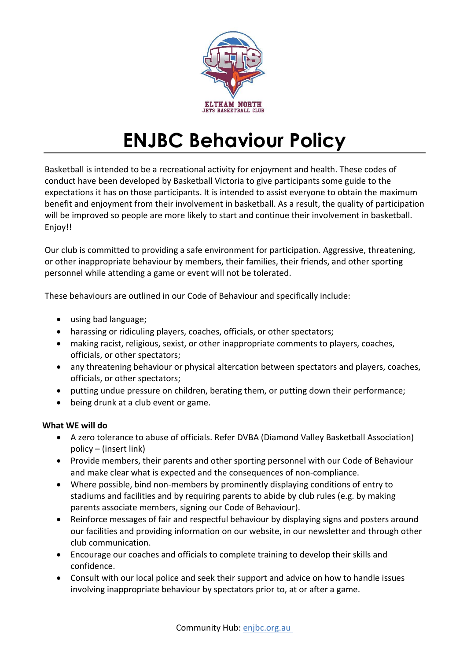

## ENJBC Behaviour Policy

Basketball is intended to be a recreational activity for enjoyment and health. These codes of conduct have been developed by Basketball Victoria to give participants some guide to the expectations it has on those participants. It is intended to assist everyone to obtain the maximum benefit and enjoyment from their involvement in basketball. As a result, the quality of participation will be improved so people are more likely to start and continue their involvement in basketball. Enjoy!!

Our club is committed to providing a safe environment for participation. Aggressive, threatening, or other inappropriate behaviour by members, their families, their friends, and other sporting personnel while attending a game or event will not be tolerated.

These behaviours are outlined in our Code of Behaviour and specifically include:

- using bad language;
- harassing or ridiculing players, coaches, officials, or other spectators;
- making racist, religious, sexist, or other inappropriate comments to players, coaches, officials, or other spectators;
- any threatening behaviour or physical altercation between spectators and players, coaches, officials, or other spectators;
- putting undue pressure on children, berating them, or putting down their performance;
- being drunk at a club event or game.

## What WE will do

- A zero tolerance to abuse of officials. Refer DVBA (Diamond Valley Basketball Association) policy – (insert link)
- Provide members, their parents and other sporting personnel with our Code of Behaviour and make clear what is expected and the consequences of non-compliance.
- Where possible, bind non-members by prominently displaying conditions of entry to stadiums and facilities and by requiring parents to abide by club rules (e.g. by making parents associate members, signing our Code of Behaviour).
- Reinforce messages of fair and respectful behaviour by displaying signs and posters around our facilities and providing information on our website, in our newsletter and through other club communication.
- Encourage our coaches and officials to complete training to develop their skills and confidence.
- Consult with our local police and seek their support and advice on how to handle issues involving inappropriate behaviour by spectators prior to, at or after a game.